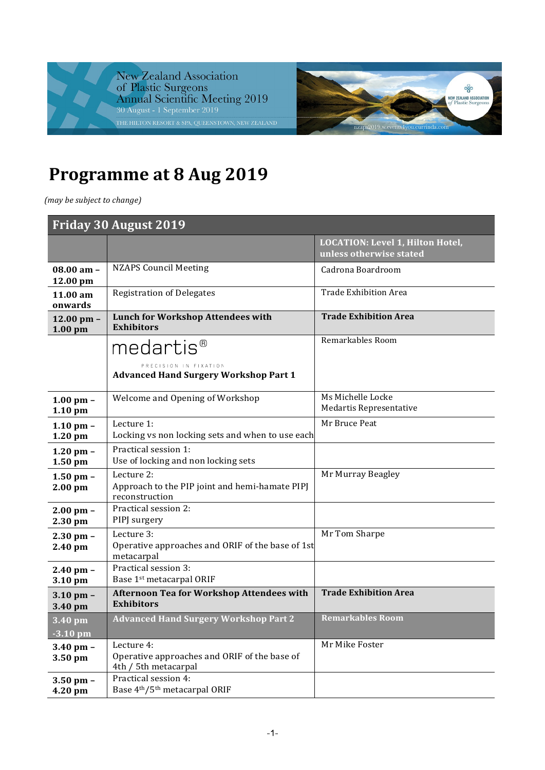



## **Programme at 8 Aug 2019**

*(may be subject to change)*

| Friday 30 August 2019      |                                                                                    |                                                             |
|----------------------------|------------------------------------------------------------------------------------|-------------------------------------------------------------|
|                            |                                                                                    | LOCATION: Level 1, Hilton Hotel,<br>unless otherwise stated |
| 08.00 am -<br>12.00 pm     | <b>NZAPS Council Meeting</b>                                                       | Cadrona Boardroom                                           |
| 11.00 am<br>onwards        | <b>Registration of Delegates</b>                                                   | <b>Trade Exhibition Area</b>                                |
| 12.00 pm $-$<br>$1.00$ pm  | <b>Lunch for Workshop Attendees with</b><br><b>Exhibitors</b>                      | <b>Trade Exhibition Area</b>                                |
|                            | medartis <sup>®</sup>                                                              | Remarkables Room                                            |
|                            | PRECISION IN FIXATION<br><b>Advanced Hand Surgery Workshop Part 1</b>              |                                                             |
| $1.00$ pm $-$<br>$1.10$ pm | Welcome and Opening of Workshop                                                    | Ms Michelle Locke<br>Medartis Representative                |
| $1.10$ pm $-$<br>1.20 pm   | Lecture 1:<br>Locking vs non locking sets and when to use each                     | Mr Bruce Peat                                               |
| $1.20$ pm $-$<br>$1.50$ pm | Practical session 1:<br>Use of locking and non locking sets                        |                                                             |
| $1.50$ pm $-$<br>$2.00$ pm | Lecture 2:<br>Approach to the PIP joint and hemi-hamate PIPJ<br>reconstruction     | Mr Murray Beagley                                           |
| $2.00$ pm $-$<br>2.30 pm   | Practical session 2:<br>PIPJ surgery                                               |                                                             |
| $2.30$ pm $-$<br>2.40 pm   | Lecture 3:<br>Operative approaches and ORIF of the base of 1st<br>metacarpal       | Mr Tom Sharpe                                               |
| $2.40$ pm $-$<br>3.10 pm   | Practical session 3:<br>Base 1st metacarpal ORIF                                   |                                                             |
| $3.10$ pm $-$<br>3.40 pm   | Afternoon Tea for Workshop Attendees with<br><b>Exhibitors</b>                     | <b>Trade Exhibition Area</b>                                |
| 3.40 pm<br>$-3.10$ pm      | <b>Advanced Hand Surgery Workshop Part 2</b>                                       | <b>Remarkables Room</b>                                     |
| $3.40$ pm $-$<br>3.50 pm   | Lecture 4:<br>Operative approaches and ORIF of the base of<br>4th / 5th metacarpal | Mr Mike Foster                                              |
| $3.50$ pm $-$<br>4.20 pm   | Practical session 4:<br>Base 4th/5th metacarpal ORIF                               |                                                             |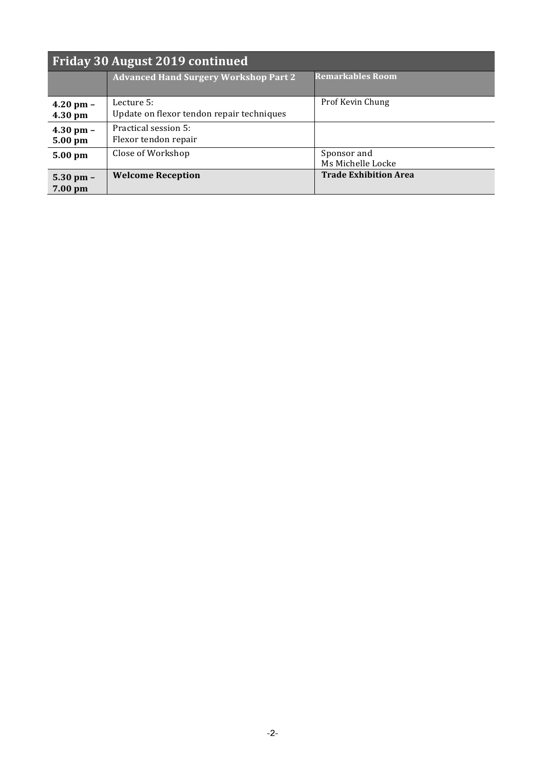| <b>Friday 30 August 2019 continued</b> |                                                         |                                  |
|----------------------------------------|---------------------------------------------------------|----------------------------------|
|                                        | <b>Advanced Hand Surgery Workshop Part 2</b>            | <b>Remarkables Room</b>          |
| $4.20$ pm $-$<br>4.30 pm               | Lecture 5:<br>Update on flexor tendon repair techniques | Prof Kevin Chung                 |
| $4.30$ pm $-$<br>5.00 pm               | Practical session 5:<br>Flexor tendon repair            |                                  |
| 5.00 pm                                | Close of Workshop                                       | Sponsor and<br>Ms Michelle Locke |
| $5.30$ pm $-$<br>7.00 pm               | <b>Welcome Reception</b>                                | <b>Trade Exhibition Area</b>     |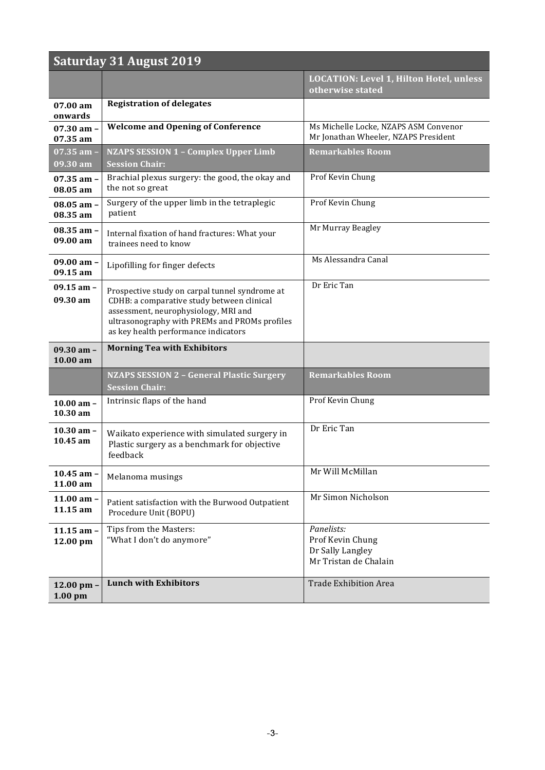| <b>Saturday 31 August 2019</b>   |                                                                                                                                                                                                                               |                                                                               |
|----------------------------------|-------------------------------------------------------------------------------------------------------------------------------------------------------------------------------------------------------------------------------|-------------------------------------------------------------------------------|
|                                  |                                                                                                                                                                                                                               | LOCATION: Level 1, Hilton Hotel, unless<br>otherwise stated                   |
| $07.00 \text{ am}$<br>onwards    | <b>Registration of delegates</b>                                                                                                                                                                                              |                                                                               |
| $07.30$ am -<br>07.35 am         | <b>Welcome and Opening of Conference</b>                                                                                                                                                                                      | Ms Michelle Locke, NZAPS ASM Convenor<br>Mr Jonathan Wheeler, NZAPS President |
| 07.35 am -<br>09.30 am           | <b>NZAPS SESSION 1 - Complex Upper Limb</b><br><b>Session Chair:</b>                                                                                                                                                          | <b>Remarkables Room</b>                                                       |
| $07.35$ am $-$<br>08.05 am       | Brachial plexus surgery: the good, the okay and<br>the not so great                                                                                                                                                           | Prof Kevin Chung                                                              |
| $08.05$ am $-$<br>08.35 am       | Surgery of the upper limb in the tetraplegic<br>patient                                                                                                                                                                       | Prof Kevin Chung                                                              |
| $08.35$ am $-$<br>09.00 am       | Internal fixation of hand fractures: What your<br>trainees need to know                                                                                                                                                       | Mr Murray Beagley                                                             |
| $09.00 \text{ am} -$<br>09.15 am | Lipofilling for finger defects                                                                                                                                                                                                | Ms Alessandra Canal                                                           |
| $09.15$ am $-$<br>09.30 am       | Prospective study on carpal tunnel syndrome at<br>CDHB: a comparative study between clinical<br>assessment, neurophysiology, MRI and<br>ultrasonography with PREMs and PROMs profiles<br>as key health performance indicators | Dr Eric Tan                                                                   |
| $09.30$ am -<br>10.00 am         | <b>Morning Tea with Exhibitors</b>                                                                                                                                                                                            |                                                                               |
|                                  | <b>NZAPS SESSION 2 - General Plastic Surgery</b><br><b>Session Chair:</b>                                                                                                                                                     | <b>Remarkables Room</b>                                                       |
| $10.00$ am $-$<br>$10.30$ am     | Intrinsic flaps of the hand                                                                                                                                                                                                   | Prof Kevin Chung                                                              |
| $10.30$ am -<br>$10.45$ am       | Waikato experience with simulated surgery in<br>Plastic surgery as a benchmark for objective<br>feedback                                                                                                                      | Dr Eric Tan                                                                   |
| 10.45 am $-$<br>11.00 am         | Melanoma musings                                                                                                                                                                                                              | Mr Will McMillan                                                              |
| 11.00 am $-$<br>11.15 am         | Patient satisfaction with the Burwood Outpatient<br>Procedure Unit (BOPU)                                                                                                                                                     | Mr Simon Nicholson                                                            |
| $11.15$ am $-$<br>12.00 pm       | Tips from the Masters:<br>"What I don't do anymore"                                                                                                                                                                           | Panelists:<br>Prof Kevin Chung<br>Dr Sally Langley<br>Mr Tristan de Chalain   |
| 12.00 pm -<br>$1.00$ pm          | <b>Lunch with Exhibitors</b>                                                                                                                                                                                                  | <b>Trade Exhibition Area</b>                                                  |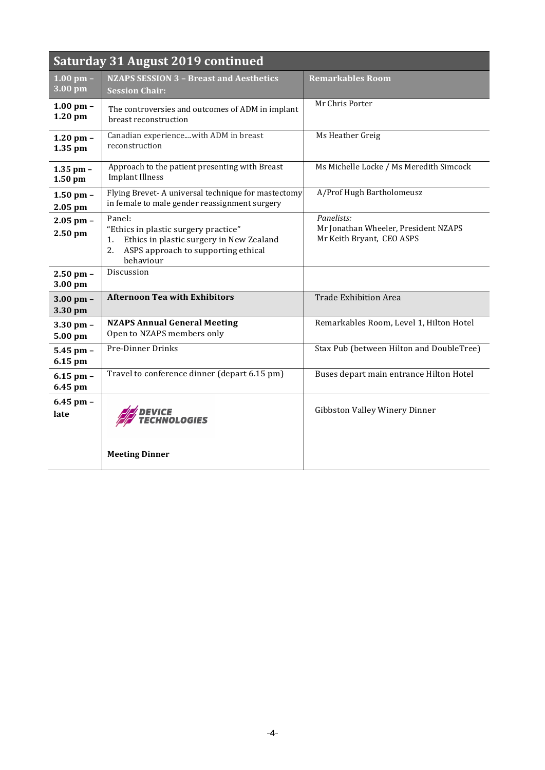| Saturday 31 August 2019 continued     |                                                                                                                                                            |                                                                                 |
|---------------------------------------|------------------------------------------------------------------------------------------------------------------------------------------------------------|---------------------------------------------------------------------------------|
| $1.00$ pm $-$<br>$\overline{3.00}$ pm | <b>NZAPS SESSION 3 - Breast and Aesthetics</b><br><b>Session Chair:</b>                                                                                    | <b>Remarkables Room</b>                                                         |
| $1.00$ pm $-$<br>1.20 pm              | The controversies and outcomes of ADM in implant<br>breast reconstruction                                                                                  | Mr Chris Porter                                                                 |
| 1.20 pm $-$<br>$1.35$ pm              | Canadian experiencewith ADM in breast<br>reconstruction                                                                                                    | Ms Heather Greig                                                                |
| $1.35$ pm $-$<br>$1.50$ pm            | Approach to the patient presenting with Breast<br><b>Implant Illness</b>                                                                                   | Ms Michelle Locke / Ms Meredith Simcock                                         |
| $1.50$ pm $-$<br>$2.05$ pm            | Flying Brevet-A universal technique for mastectomy<br>in female to male gender reassignment surgery                                                        | A/Prof Hugh Bartholomeusz                                                       |
| $2.05$ pm $-$<br>$2.50$ pm            | Panel:<br>"Ethics in plastic surgery practice"<br>Ethics in plastic surgery in New Zealand<br>1.<br>ASPS approach to supporting ethical<br>2.<br>behaviour | Panelists:<br>Mr Jonathan Wheeler, President NZAPS<br>Mr Keith Bryant, CEO ASPS |
| $2.50$ pm $-$<br>3.00 pm              | Discussion                                                                                                                                                 |                                                                                 |
| $3.00 \text{ pm} -$<br>3.30 pm        | <b>Afternoon Tea with Exhibitors</b>                                                                                                                       | <b>Trade Exhibition Area</b>                                                    |
| $3.30$ pm $-$<br>5.00 pm              | <b>NZAPS Annual General Meeting</b><br>Open to NZAPS members only                                                                                          | Remarkables Room, Level 1, Hilton Hotel                                         |
| $5.45$ pm $-$<br>6.15 pm              | Pre-Dinner Drinks                                                                                                                                          | Stax Pub (between Hilton and DoubleTree)                                        |
| $6.15$ pm $-$<br>6.45 pm              | Travel to conference dinner (depart 6.15 pm)                                                                                                               | Buses depart main entrance Hilton Hotel                                         |
| $6.45$ pm $-$<br>late                 | <i>'ICE</i><br>'HNOLOGIES                                                                                                                                  | Gibbston Valley Winery Dinner                                                   |
|                                       | <b>Meeting Dinner</b>                                                                                                                                      |                                                                                 |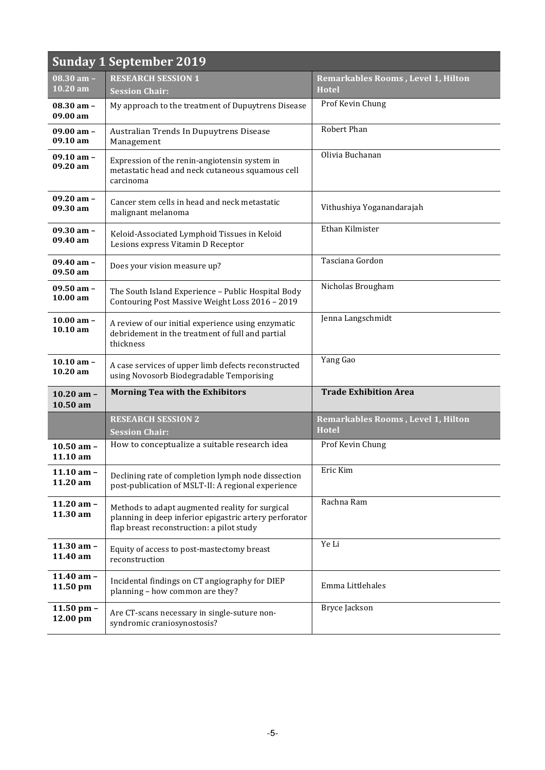| <b>Sunday 1 September 2019</b>       |                                                                                                                                                        |                                                           |
|--------------------------------------|--------------------------------------------------------------------------------------------------------------------------------------------------------|-----------------------------------------------------------|
| $08.30$ am $-$<br>10.20 am           | <b>RESEARCH SESSION 1</b><br><b>Session Chair:</b>                                                                                                     | Remarkables Rooms, Level 1, Hilton<br><b>Hotel</b>        |
| $08.30$ am $-$<br>09.00 am           | My approach to the treatment of Dupuytrens Disease                                                                                                     | Prof Kevin Chung                                          |
| $09.00$ am $-$<br>09.10 am           | Australian Trends In Dupuytrens Disease<br>Management                                                                                                  | Robert Phan                                               |
| $09.10$ am $-$<br>$09.20 \text{ am}$ | Expression of the renin-angiotensin system in<br>metastatic head and neck cutaneous squamous cell<br>carcinoma                                         | Olivia Buchanan                                           |
| $09.20$ am -<br>09.30 am             | Cancer stem cells in head and neck metastatic<br>malignant melanoma                                                                                    | Vithushiya Yoganandarajah                                 |
| $09.30$ am $-$<br>09.40 am           | Keloid-Associated Lymphoid Tissues in Keloid<br>Lesions express Vitamin D Receptor                                                                     | Ethan Kilmister                                           |
| $09.40$ am $-$<br>09.50 am           | Does your vision measure up?                                                                                                                           | Tasciana Gordon                                           |
| $09.50$ am $-$<br>$10.00 \text{ am}$ | The South Island Experience - Public Hospital Body<br>Contouring Post Massive Weight Loss 2016 - 2019                                                  | Nicholas Brougham                                         |
| 10.00 am $-$<br>10.10 am             | A review of our initial experience using enzymatic<br>debridement in the treatment of full and partial<br>thickness                                    | Jenna Langschmidt                                         |
| $10.10$ am $-$<br>10.20 am           | A case services of upper limb defects reconstructed<br>using Novosorb Biodegradable Temporising                                                        | Yang Gao                                                  |
| $10.20$ am $-$<br>10.50 am           | <b>Morning Tea with the Exhibitors</b>                                                                                                                 | <b>Trade Exhibition Area</b>                              |
|                                      | <b>RESEARCH SESSION 2</b><br><b>Session Chair:</b>                                                                                                     | <b>Remarkables Rooms, Level 1, Hilton</b><br><b>Hotel</b> |
| $10.50$ am $-$<br>11.10 am           | How to conceptualize a suitable research idea                                                                                                          | Prof Kevin Chung                                          |
| $11.10$ am -<br>11.20 am             | Declining rate of completion lymph node dissection<br>post-publication of MSLT-II: A regional experience                                               | Eric Kim                                                  |
| 11.20 am $-$<br>11.30 am             | Methods to adapt augmented reality for surgical<br>planning in deep inferior epigastric artery perforator<br>flap breast reconstruction: a pilot study | Rachna Ram                                                |
| 11.30 am $-$<br>11.40 am             | Equity of access to post-mastectomy breast<br>reconstruction                                                                                           | Ye Li                                                     |
| 11.40 am $-$<br>11.50 pm             | Incidental findings on CT angiography for DIEP<br>planning - how common are they?                                                                      | Emma Littlehales                                          |
| 11.50 pm $-$<br>12.00 pm             | Are CT-scans necessary in single-suture non-<br>syndromic craniosynostosis?                                                                            | Bryce Jackson                                             |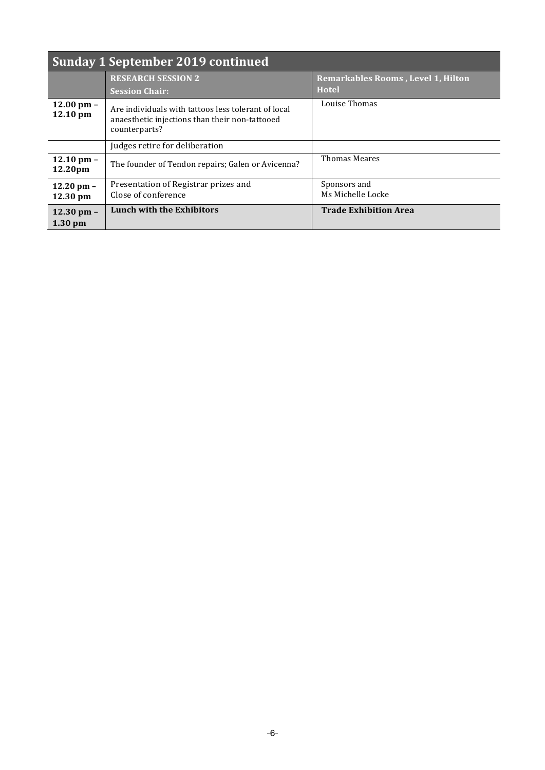| Sunday 1 September 2019 continued         |                                                                                                                        |                                                           |
|-------------------------------------------|------------------------------------------------------------------------------------------------------------------------|-----------------------------------------------------------|
|                                           | <b>RESEARCH SESSION 2</b><br><b>Session Chair:</b>                                                                     | <b>Remarkables Rooms, Level 1, Hilton</b><br><b>Hotel</b> |
| 12.00 pm $-$<br>$12.10 \text{ pm}$        | Are individuals with tattoos less tolerant of local<br>anaesthetic injections than their non-tattooed<br>counterparts? | Louise Thomas                                             |
|                                           | Judges retire for deliberation                                                                                         |                                                           |
| $12.10 \text{ pm} -$<br>12.20pm           | The founder of Tendon repairs; Galen or Avicenna?                                                                      | <b>Thomas Meares</b>                                      |
| $12.20$ pm $-$<br>$12.30 \text{ pm}$      | Presentation of Registrar prizes and<br>Close of conference                                                            | Sponsors and<br>Ms Michelle Locke                         |
| $12.30 \text{ pm} -$<br>$1.30 \text{ pm}$ | <b>Lunch with the Exhibitors</b>                                                                                       | <b>Trade Exhibition Area</b>                              |